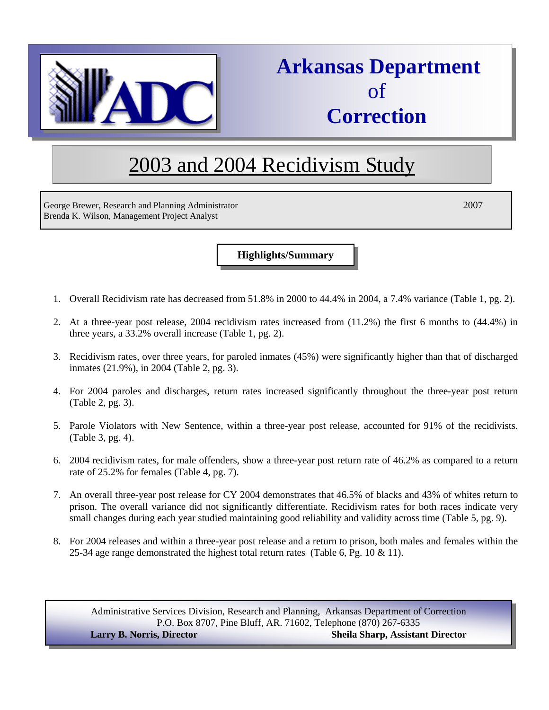

# **Arkansas Department**  of  **Correction**

# 2003 and 2004 Recidivism Study

George Brewer, Research and Planning Administrator 2007 Brenda K. Wilson, Management Project Analyst

**Highlights/Summary**

- 1. Overall Recidivism rate has decreased from 51.8% in 2000 to 44.4% in 2004, a 7.4% variance (Table 1, pg. 2).
- 2. At a three-year post release, 2004 recidivism rates increased from (11.2%) the first 6 months to (44.4%) in three years, a 33.2% overall increase (Table 1, pg. 2).
- 3. Recidivism rates, over three years, for paroled inmates (45%) were significantly higher than that of discharged inmates (21.9%), in 2004 (Table 2, pg. 3).
- 4. For 2004 paroles and discharges, return rates increased significantly throughout the three-year post return (Table 2, pg. 3).
- 5. Parole Violators with New Sentence, within a three-year post release, accounted for 91% of the recidivists. (Table 3, pg. 4).
- 6. 2004 recidivism rates, for male offenders, show a three-year post return rate of 46.2% as compared to a return rate of 25.2% for females (Table 4, pg. 7).
- 7. An overall three-year post release for CY 2004 demonstrates that 46.5% of blacks and 43% of whites return to prison. The overall variance did not significantly differentiate. Recidivism rates for both races indicate very small changes during each year studied maintaining good reliability and validity across time (Table 5, pg. 9).
- 8. For 2004 releases and within a three-year post release and a return to prison, both males and females within the 25-34 age range demonstrated the highest total return rates (Table 6, Pg. 10 & 11).

Administrative Services Division, Research and Planning, Arkansas Department of Correction P.O. Box 8707, Pine Bluff, AR. 71602, Telephone (870) 267-6335

**Larry B. Norris, Director Sheila Sharp, Assistant Director**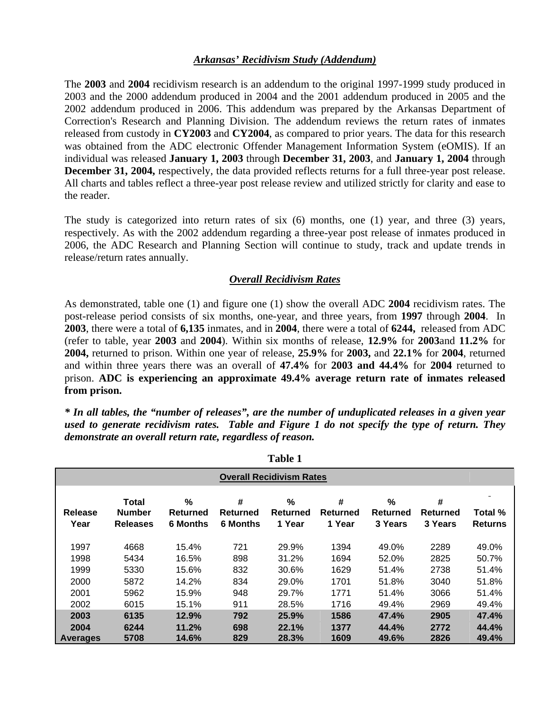#### *Arkansas' Recidivism Study (Addendum)*

The **2003** and **2004** recidivism research is an addendum to the original 1997-1999 study produced in 2003 and the 2000 addendum produced in 2004 and the 2001 addendum produced in 2005 and the 2002 addendum produced in 2006. This addendum was prepared by the Arkansas Department of Correction's Research and Planning Division. The addendum reviews the return rates of inmates released from custody in **CY2003** and **CY2004**, as compared to prior years. The data for this research was obtained from the ADC electronic Offender Management Information System (eOMIS). If an individual was released **January 1, 2003** through **December 31, 2003**, and **January 1, 2004** through **December 31, 2004,** respectively, the data provided reflects returns for a full three-year post release. All charts and tables reflect a three-year post release review and utilized strictly for clarity and ease to the reader.

The study is categorized into return rates of six (6) months, one (1) year, and three (3) years, respectively. As with the 2002 addendum regarding a three-year post release of inmates produced in 2006, the ADC Research and Planning Section will continue to study, track and update trends in release/return rates annually.

#### *Overall Recidivism Rates*

As demonstrated, table one (1) and figure one (1) show the overall ADC **2004** recidivism rates. The post-release period consists of six months, one-year, and three years, from **1997** through **2004**. In **2003**, there were a total of **6,135** inmates, and in **2004**, there were a total of **6244,** released from ADC (refer to table, year **2003** and **2004**). Within six months of release, **12.9%** for **2003**and **11.2%** for **2004,** returned to prison. Within one year of release, **25.9%** for **2003,** and **22.1%** for **2004**, returned and within three years there was an overall of **47.4%** for **2003 and 44.4%** for **2004** returned to prison. **ADC is experiencing an approximate 49.4% average return rate of inmates released from prison.**

*\* In all tables, the "number of releases", are the number of unduplicated releases in a given year used to generate recidivism rates. Table and Figure 1 do not specify the type of return. They demonstrate an overall return rate, regardless of reason.* 

|                 | Table 1                                          |                                     |                                         |                         |                         |                          |                          |                           |  |  |
|-----------------|--------------------------------------------------|-------------------------------------|-----------------------------------------|-------------------------|-------------------------|--------------------------|--------------------------|---------------------------|--|--|
|                 | <b>Overall Recidivism Rates</b>                  |                                     |                                         |                         |                         |                          |                          |                           |  |  |
| Release<br>Year | <b>Total</b><br><b>Number</b><br><b>Releases</b> | $\%$<br>Returned<br><b>6 Months</b> | #<br><b>Returned</b><br><b>6 Months</b> | %<br>Returned<br>1 Year | #<br>Returned<br>1 Year | %<br>Returned<br>3 Years | #<br>Returned<br>3 Years | Total %<br><b>Returns</b> |  |  |
| 1997            | 4668                                             | 15.4%                               | 721                                     | 29.9%                   | 1394                    | 49.0%                    | 2289                     | 49.0%                     |  |  |
| 1998            | 5434                                             | 16.5%                               | 898                                     | 31.2%                   | 1694                    | 52.0%                    | 2825                     | 50.7%                     |  |  |
| 1999            | 5330                                             | 15.6%                               | 832                                     | 30.6%                   | 1629                    | 51.4%                    | 2738                     | 51.4%                     |  |  |
| 2000            | 5872                                             | 14.2%                               | 834                                     | 29.0%                   | 1701                    | 51.8%                    | 3040                     | 51.8%                     |  |  |
| 2001            | 5962                                             | 15.9%                               | 948                                     | 29.7%                   | 1771                    | 51.4%                    | 3066                     | 51.4%                     |  |  |
| 2002            | 6015                                             | 15.1%                               | 911                                     | 28.5%                   | 1716                    | 49.4%                    | 2969                     | 49.4%                     |  |  |
| 2003            | 6135                                             | 12.9%                               | 792                                     | 25.9%                   | 1586                    | 47.4%                    | 2905                     | 47.4%                     |  |  |
| 2004            | 6244                                             | 11.2%                               | 698                                     | 22.1%                   | 1377                    | 44.4%                    | 2772                     | 44.4%                     |  |  |
| <b>Averages</b> | 5708                                             | 14.6%                               | 829                                     | 28.3%                   | 1609                    | 49.6%                    | 2826                     | 49.4%                     |  |  |

**Table 1 Table**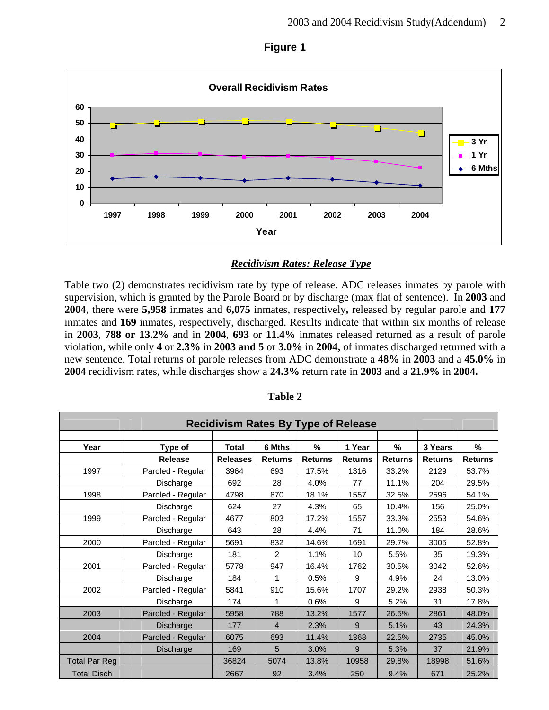

### **Figure 1**

## *Recidivism Rates: Release Type*

Table two (2) demonstrates recidivism rate by type of release. ADC releases inmates by parole with supervision, which is granted by the Parole Board or by discharge (max flat of sentence). In **2003** and **2004**, there were **5,958** inmates and **6,075** inmates, respectively**,** released by regular parole and **177**  inmates and **169** inmates, respectively, discharged. Results indicate that within six months of release in **2003**, **788 or 13.2%** and in **2004**, **693** or **11.4%** inmates released returned as a result of parole violation, while only **4** or **2.3%** in **2003 and 5** or **3.0%** in **2004,** of inmates discharged returned with a new sentence. Total returns of parole releases from ADC demonstrate a **48%** in **2003** and a **45.0%** in **2004** recidivism rates, while discharges show a **24.3%** return rate in **2003** and a **21.9%** in **2004.**

|                      | <b>Recidivism Rates By Type of Release</b> |                 |                |                |                |                |                |                |  |  |  |
|----------------------|--------------------------------------------|-----------------|----------------|----------------|----------------|----------------|----------------|----------------|--|--|--|
|                      |                                            |                 |                |                |                |                |                |                |  |  |  |
| Year                 | Type of                                    | <b>Total</b>    | 6 Mths         | %              | 1 Year         | %              | 3 Years        | %              |  |  |  |
|                      | <b>Release</b>                             | <b>Releases</b> | <b>Returns</b> | <b>Returns</b> | <b>Returns</b> | <b>Returns</b> | <b>Returns</b> | <b>Returns</b> |  |  |  |
| 1997                 | Paroled - Regular                          | 3964            | 693            | 17.5%          | 1316           | 33.2%          | 2129           | 53.7%          |  |  |  |
|                      | Discharge                                  | 692             | 28             | 4.0%           | 77             | 11.1%          | 204            | 29.5%          |  |  |  |
| 1998                 | Paroled - Regular                          | 4798            | 870            | 18.1%          | 1557           | 32.5%          | 2596           | 54.1%          |  |  |  |
|                      | Discharge                                  | 624             | 27             | 4.3%           | 65             | 10.4%          | 156            | 25.0%          |  |  |  |
| 1999                 | Paroled - Regular                          | 4677            | 803            | 17.2%          | 1557           | 33.3%          | 2553           | 54.6%          |  |  |  |
|                      | Discharge                                  | 643             | 28             | 4.4%           | 71             | 11.0%          | 184            | 28.6%          |  |  |  |
| 2000                 | Paroled - Regular                          | 5691            | 832            | 14.6%          | 1691           | 29.7%          | 3005           | 52.8%          |  |  |  |
|                      | Discharge                                  | 181             | $\overline{2}$ | 1.1%           | 10             | 5.5%           | 35             | 19.3%          |  |  |  |
| 2001                 | Paroled - Regular                          | 5778            | 947            | 16.4%          | 1762           | 30.5%          | 3042           | 52.6%          |  |  |  |
|                      | Discharge                                  | 184             | 1              | 0.5%           | 9              | 4.9%           | 24             | 13.0%          |  |  |  |
| 2002                 | Paroled - Regular                          | 5841            | 910            | 15.6%          | 1707           | 29.2%          | 2938           | 50.3%          |  |  |  |
|                      | Discharge                                  | 174             |                | 0.6%           | 9              | 5.2%           | 31             | 17.8%          |  |  |  |
| 2003                 | Paroled - Regular                          | 5958            | 788            | 13.2%          | 1577           | 26.5%          | 2861           | 48.0%          |  |  |  |
|                      | Discharge                                  | 177             | $\overline{4}$ | 2.3%           | 9              | 5.1%           | 43             | 24.3%          |  |  |  |
| 2004                 | Paroled - Regular                          | 6075            | 693            | 11.4%          | 1368           | 22.5%          | 2735           | 45.0%          |  |  |  |
|                      | Discharge                                  | 169             | 5              | 3.0%           | 9              | 5.3%           | 37             | 21.9%          |  |  |  |
| <b>Total Par Reg</b> |                                            | 36824           | 5074           | 13.8%          | 10958          | 29.8%          | 18998          | 51.6%          |  |  |  |
| <b>Total Disch</b>   |                                            | 2667            | 92             | 3.4%           | 250            | 9.4%           | 671            | 25.2%          |  |  |  |

**Table 2**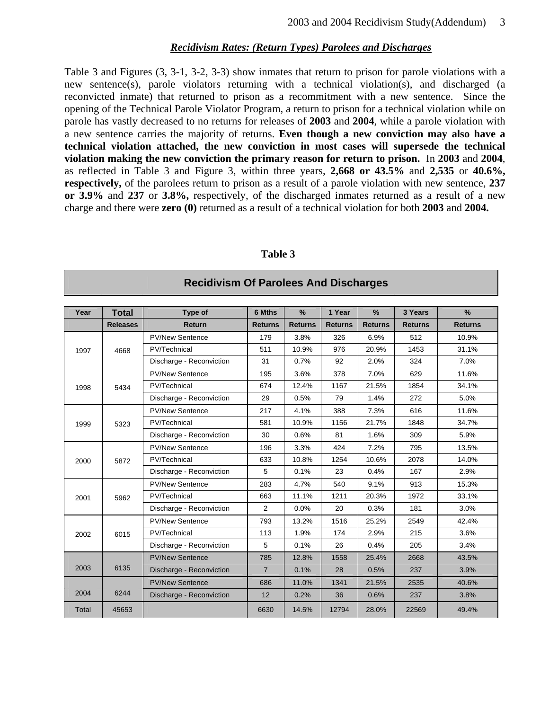#### *Recidivism Rates: (Return Types) Parolees and Discharges*

Table 3 and Figures (3, 3-1, 3-2, 3-3) show inmates that return to prison for parole violations with a new sentence(s), parole violators returning with a technical violation(s), and discharged (a reconvicted inmate) that returned to prison as a recommitment with a new sentence. Since the opening of the Technical Parole Violator Program, a return to prison for a technical violation while on parole has vastly decreased to no returns for releases of **2003** and **2004**, while a parole violation with a new sentence carries the majority of returns. **Even though a new conviction may also have a technical violation attached, the new conviction in most cases will supersede the technical violation making the new conviction the primary reason for return to prison.** In **2003** and **2004**, as reflected in Table 3 and Figure 3, within three years, **2,668 or 43.5%** and **2,535** or **40.6%, respectively,** of the parolees return to prison as a result of a parole violation with new sentence, **237 or 3.9%** and **237** or **3.8%,** respectively, of the discharged inmates returned as a result of a new charge and there were **zero (0)** returned as a result of a technical violation for both **2003** and **2004.** 

| Year  | <b>Total</b>             | Type of                  | 6 Mths         | $\%$           | 1 Year         | $\frac{9}{6}$  | 3 Years        | $\%$           |
|-------|--------------------------|--------------------------|----------------|----------------|----------------|----------------|----------------|----------------|
|       | <b>Releases</b>          | <b>Return</b>            | <b>Returns</b> | <b>Returns</b> | <b>Returns</b> | <b>Returns</b> | <b>Returns</b> | <b>Returns</b> |
|       |                          | <b>PV/New Sentence</b>   | 179            | 3.8%           | 326            | 6.9%           | 512            | 10.9%          |
| 1997  | 4668                     | PV/Technical             | 511            | 10.9%          | 976            | 20.9%          | 1453           | 31.1%          |
|       |                          | Discharge - Reconviction | 31             | 0.7%           | 92             | 2.0%           | 324            | 7.0%           |
|       |                          | <b>PV/New Sentence</b>   | 195            | 3.6%           | 378            | 7.0%           | 629            | 11.6%          |
| 1998  | 5434                     | PV/Technical             | 674            | 12.4%          | 1167           | 21.5%          | 1854           | 34.1%          |
|       |                          | Discharge - Reconviction | 29             | 0.5%           | 79             | 1.4%           | 272            | 5.0%           |
|       | <b>PV/New Sentence</b>   | 217                      | 4.1%           | 388            | 7.3%           | 616            | 11.6%          |                |
| 1999  | 5323                     | PV/Technical             | 581            | 10.9%          | 1156           | 21.7%          | 1848           | 34.7%          |
|       | Discharge - Reconviction | 30                       | 0.6%           | 81             | 1.6%           | 309            | 5.9%           |                |
|       | <b>PV/New Sentence</b>   | 196                      | 3.3%           | 424            | 7.2%           | 795            | 13.5%          |                |
| 2000  | 5872                     | PV/Technical             | 633            | 10.8%          | 1254           | 10.6%          | 2078           | 14.0%          |
|       |                          | Discharge - Reconviction | 5              | 0.1%           | 23             | 0.4%           | 167            | 2.9%           |
|       |                          | <b>PV/New Sentence</b>   | 283            | 4.7%           | 540            | 9.1%           | 913            | 15.3%          |
| 2001  | 5962                     | PV/Technical             | 663            | 11.1%          | 1211           | 20.3%          | 1972           | 33.1%          |
|       |                          | Discharge - Reconviction | 2              | 0.0%           | 20             | 0.3%           | 181            | 3.0%           |
|       |                          | <b>PV/New Sentence</b>   | 793            | 13.2%          | 1516           | 25.2%          | 2549           | 42.4%          |
| 2002  | 6015                     | <b>PV/Technical</b>      | 113            | 1.9%           | 174            | 2.9%           | 215            | 3.6%           |
|       |                          | Discharge - Reconviction | 5              | 0.1%           | 26             | 0.4%           | 205            | 3.4%           |
|       |                          | <b>PV/New Sentence</b>   | 785            | 12.8%          | 1558           | 25.4%          | 2668           | 43.5%          |
| 2003  | 6135                     | Discharge - Reconviction | $\overline{7}$ | 0.1%           | 28             | 0.5%           | 237            | 3.9%           |
|       |                          | <b>PV/New Sentence</b>   | 686            | 11.0%          | 1341           | 21.5%          | 2535           | 40.6%          |
| 2004  | 6244                     | Discharge - Reconviction | 12             | 0.2%           | 36             | 0.6%           | 237            | 3.8%           |
| Total | 45653                    |                          | 6630           | 14.5%          | 12794          | 28.0%          | 22569          | 49.4%          |

**Table 3** 

**Recidivism Of Parolees And Discharges**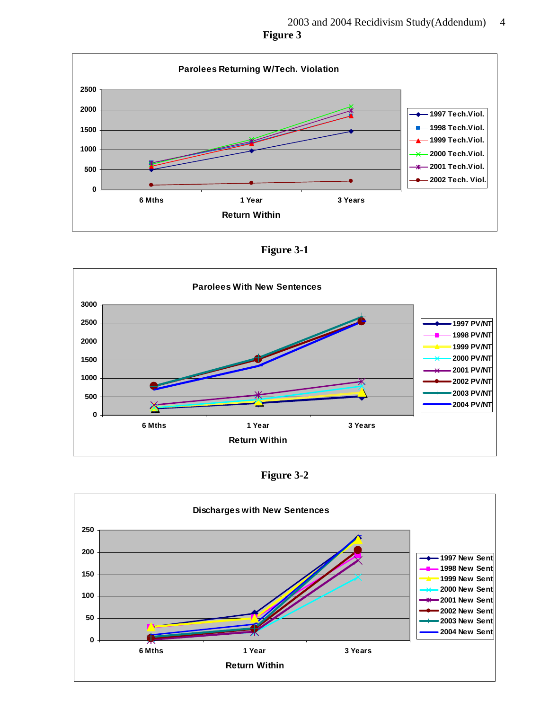

**Figure 3-1**



**Figure 3-2**

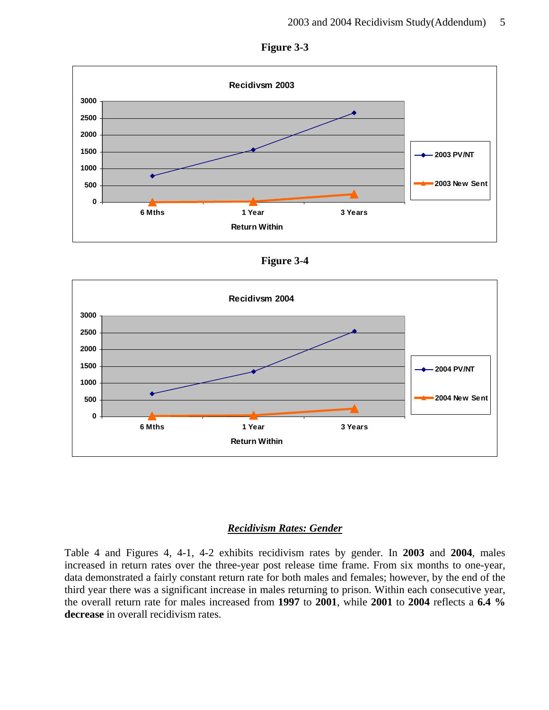



**Figure 3-4** 



#### *Recidivism Rates: Gender*

Table 4 and Figures 4, 4-1, 4-2 exhibits recidivism rates by gender. In **2003** and **2004**, males increased in return rates over the three-year post release time frame. From six months to one-year, data demonstrated a fairly constant return rate for both males and females; however, by the end of the third year there was a significant increase in males returning to prison. Within each consecutive year, the overall return rate for males increased from **1997** to **2001**, while **2001** to **2004** reflects a **6.4 % decrease** in overall recidivism rates.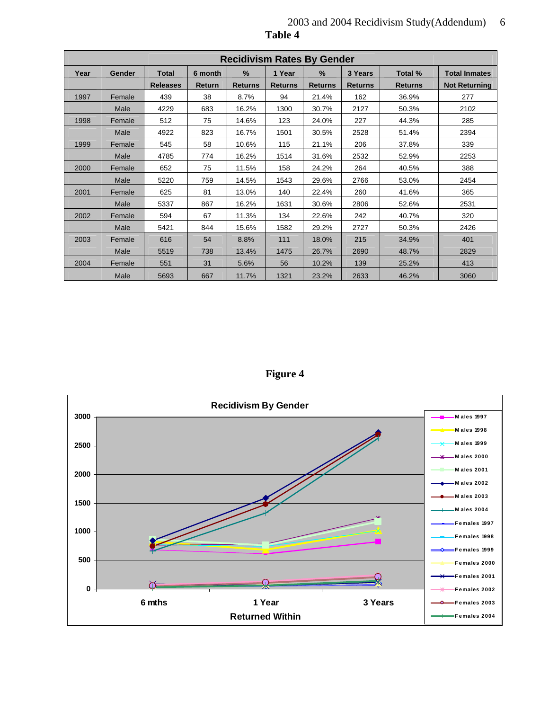|      |        |                 |               | <b>Recidivism Rates By Gender</b> |                |                |                |                |                      |
|------|--------|-----------------|---------------|-----------------------------------|----------------|----------------|----------------|----------------|----------------------|
| Year | Gender | <b>Total</b>    | 6 month       | $\frac{9}{6}$                     | 1 Year         | %              | 3 Years        | Total %        | <b>Total Inmates</b> |
|      |        | <b>Releases</b> | <b>Return</b> | <b>Returns</b>                    | <b>Returns</b> | <b>Returns</b> | <b>Returns</b> | <b>Returns</b> | <b>Not Returning</b> |
| 1997 | Female | 439             | 38            | 8.7%                              | 94             | 21.4%          | 162            | 36.9%          | 277                  |
|      | Male   | 4229            | 683           | 16.2%                             | 1300           | 30.7%          | 2127           | 50.3%          | 2102                 |
| 1998 | Female | 512             | 75            | 14.6%                             | 123            | 24.0%          | 227            | 44.3%          | 285                  |
|      | Male   | 4922            | 823           | 16.7%                             | 1501           | 30.5%          | 2528           | 51.4%          | 2394                 |
| 1999 | Female | 545             | 58            | 10.6%                             | 115            | 21.1%          | 206            | 37.8%          | 339                  |
|      | Male   | 4785            | 774           | 16.2%                             | 1514           | 31.6%          | 2532           | 52.9%          | 2253                 |
| 2000 | Female | 652             | 75            | 11.5%                             | 158            | 24.2%          | 264            | 40.5%          | 388                  |
|      | Male   | 5220            | 759           | 14.5%                             | 1543           | 29.6%          | 2766           | 53.0%          | 2454                 |
| 2001 | Female | 625             | 81            | 13.0%                             | 140            | 22.4%          | 260            | 41.6%          | 365                  |
|      | Male   | 5337            | 867           | 16.2%                             | 1631           | 30.6%          | 2806           | 52.6%          | 2531                 |
| 2002 | Female | 594             | 67            | 11.3%                             | 134            | 22.6%          | 242            | 40.7%          | 320                  |
|      | Male   | 5421            | 844           | 15.6%                             | 1582           | 29.2%          | 2727           | 50.3%          | 2426                 |
| 2003 | Female | 616             | 54            | 8.8%                              | 111            | 18.0%          | 215            | 34.9%          | 401                  |
|      | Male   | 5519            | 738           | 13.4%                             | 1475           | 26.7%          | 2690           | 48.7%          | 2829                 |
| 2004 | Female | 551             | 31            | 5.6%                              | 56             | 10.2%          | 139            | 25.2%          | 413                  |
|      | Male   | 5693            | 667           | 11.7%                             | 1321           | 23.2%          | 2633           | 46.2%          | 3060                 |

 2003 and 2004 Recidivism Study(Addendum) 6 **Table 4** 

**Figure 4** 

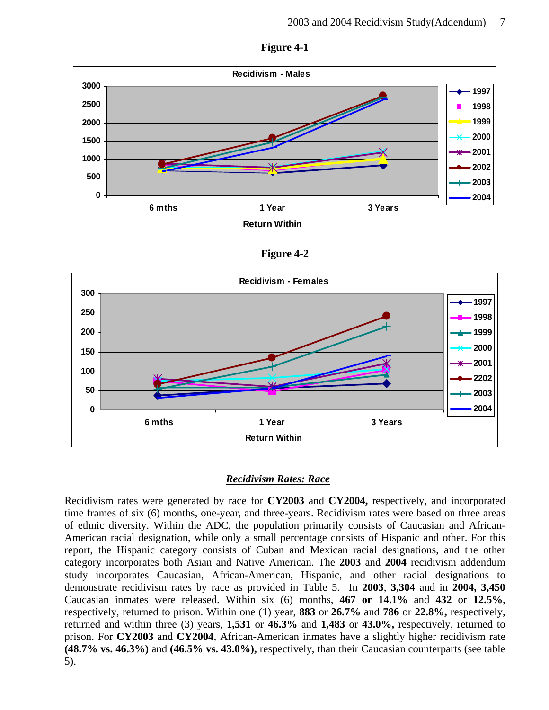

**Figure 4-1** 

**Figure 4-2** 



#### *Recidivism Rates: Race*

Recidivism rates were generated by race for **CY2003** and **CY2004,** respectively, and incorporated time frames of six (6) months, one-year, and three-years. Recidivism rates were based on three areas of ethnic diversity. Within the ADC, the population primarily consists of Caucasian and African-American racial designation, while only a small percentage consists of Hispanic and other. For this report, the Hispanic category consists of Cuban and Mexican racial designations, and the other category incorporates both Asian and Native American. The **2003** and **2004** recidivism addendum study incorporates Caucasian, African-American, Hispanic, and other racial designations to demonstrate recidivism rates by race as provided in Table 5. In **2003**, **3,304** and in **2004, 3,450** Caucasian inmates were released. Within six (6) months, **467 or 14.1%** and **432** or **12.5%**, respectively, returned to prison. Within one (1) year, **883** or **26.7%** and **786** or **22.8%,** respectively, returned and within three (3) years, **1,531** or **46.3%** and **1,483** or **43.0%,** respectively, returned to prison. For **CY2003** and **CY2004**, African-American inmates have a slightly higher recidivism rate **(48.7% vs. 46.3%)** and **(46.5% vs. 43.0%),** respectively, than their Caucasian counterparts (see table 5).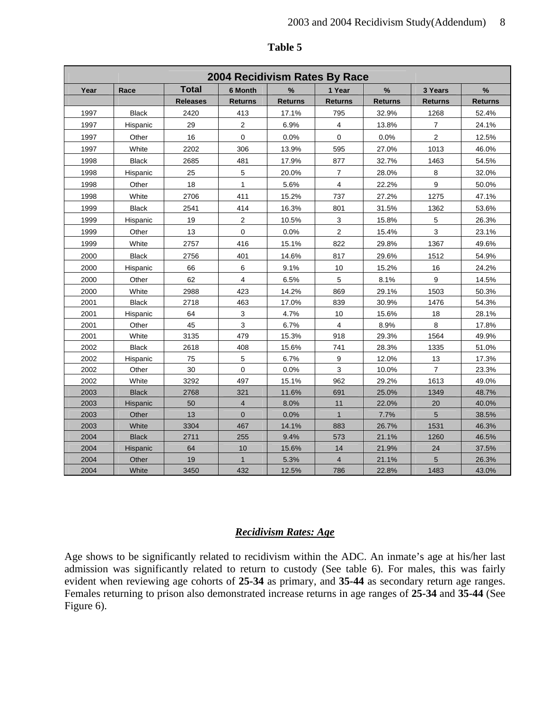|      | 2004 Recidivism Rates By Race |                 |                |                |                |                |                |                |  |  |
|------|-------------------------------|-----------------|----------------|----------------|----------------|----------------|----------------|----------------|--|--|
| Year | Race                          | <b>Total</b>    | 6 Month        | %              | 1 Year         | $\%$           | 3 Years        | $\%$           |  |  |
|      |                               | <b>Releases</b> | <b>Returns</b> | <b>Returns</b> | <b>Returns</b> | <b>Returns</b> | <b>Returns</b> | <b>Returns</b> |  |  |
| 1997 | <b>Black</b>                  | 2420            | 413            | 17.1%          | 795            | 32.9%          | 1268           | 52.4%          |  |  |
| 1997 | Hispanic                      | 29              | $\overline{2}$ | 6.9%           | $\overline{4}$ | 13.8%          | $\overline{7}$ | 24.1%          |  |  |
| 1997 | Other                         | 16              | 0              | 0.0%           | 0              | 0.0%           | 2              | 12.5%          |  |  |
| 1997 | White                         | 2202            | 306            | 13.9%          | 595            | 27.0%          | 1013           | 46.0%          |  |  |
| 1998 | <b>Black</b>                  | 2685            | 481            | 17.9%          | 877            | 32.7%          | 1463           | 54.5%          |  |  |
| 1998 | Hispanic                      | 25              | 5              | 20.0%          | $\overline{7}$ | 28.0%          | $\bf8$         | 32.0%          |  |  |
| 1998 | Other                         | 18              | $\mathbf{1}$   | 5.6%           | $\overline{4}$ | 22.2%          | 9              | 50.0%          |  |  |
| 1998 | White                         | 2706            | 411            | 15.2%          | 737            | 27.2%          | 1275           | 47.1%          |  |  |
| 1999 | <b>Black</b>                  | 2541            | 414            | 16.3%          | 801            | 31.5%          | 1362           | 53.6%          |  |  |
| 1999 | Hispanic                      | 19              | 2              | 10.5%          | 3              | 15.8%          | 5              | 26.3%          |  |  |
| 1999 | Other                         | 13              | $\pmb{0}$      | 0.0%           | $\overline{2}$ | 15.4%          | 3              | 23.1%          |  |  |
| 1999 | White                         | 2757            | 416            | 15.1%          | 822            | 29.8%          | 1367           | 49.6%          |  |  |
| 2000 | <b>Black</b>                  | 2756            | 401            | 14.6%          | 817            | 29.6%          | 1512           | 54.9%          |  |  |
| 2000 | Hispanic                      | 66              | 6              | 9.1%           | 10             | 15.2%          | 16             | 24.2%          |  |  |
| 2000 | Other                         | 62              | $\overline{4}$ | 6.5%           | 5              | 8.1%           | 9              | 14.5%          |  |  |
| 2000 | White                         | 2988            | 423            | 14.2%          | 869            | 29.1%          | 1503           | 50.3%          |  |  |
| 2001 | <b>Black</b>                  | 2718            | 463            | 17.0%          | 839            | 30.9%          | 1476           | 54.3%          |  |  |
| 2001 | Hispanic                      | 64              | $\mathbf{3}$   | 4.7%           | 10             | 15.6%          | 18             | 28.1%          |  |  |
| 2001 | Other                         | 45              | 3              | 6.7%           | $\overline{4}$ | 8.9%           | 8              | 17.8%          |  |  |
| 2001 | White                         | 3135            | 479            | 15.3%          | 918            | 29.3%          | 1564           | 49.9%          |  |  |
| 2002 | <b>Black</b>                  | 2618            | 408            | 15.6%          | 741            | 28.3%          | 1335           | 51.0%          |  |  |
| 2002 | Hispanic                      | 75              | 5              | 6.7%           | 9              | 12.0%          | 13             | 17.3%          |  |  |
| 2002 | Other                         | 30              | $\mathbf 0$    | 0.0%           | 3              | 10.0%          | $\overline{7}$ | 23.3%          |  |  |
| 2002 | White                         | 3292            | 497            | 15.1%          | 962            | 29.2%          | 1613           | 49.0%          |  |  |
| 2003 | <b>Black</b>                  | 2768            | 321            | 11.6%          | 691            | 25.0%          | 1349           | 48.7%          |  |  |
| 2003 | Hispanic                      | 50              | $\overline{4}$ | 8.0%           | 11             | 22.0%          | 20             | 40.0%          |  |  |
| 2003 | Other                         | 13              | $\mathbf{0}$   | 0.0%           | $\mathbf{1}$   | 7.7%           | 5              | 38.5%          |  |  |
| 2003 | White                         | 3304            | 467            | 14.1%          | 883            | 26.7%          | 1531           | 46.3%          |  |  |
| 2004 | <b>Black</b>                  | 2711            | 255            | 9.4%           | 573            | 21.1%          | 1260           | 46.5%          |  |  |
| 2004 | Hispanic                      | 64              | 10             | 15.6%          | 14             | 21.9%          | 24             | 37.5%          |  |  |
| 2004 | Other                         | 19              | $\mathbf{1}$   | 5.3%           | $\overline{4}$ | 21.1%          | 5              | 26.3%          |  |  |
| 2004 | White                         | 3450            | 432            | 12.5%          | 786            | 22.8%          | 1483           | 43.0%          |  |  |

#### **Table 5**

### *Recidivism Rates: Age*

Age shows to be significantly related to recidivism within the ADC. An inmate's age at his/her last admission was significantly related to return to custody (See table 6). For males, this was fairly evident when reviewing age cohorts of **25-34** as primary, and **35-44** as secondary return age ranges. Females returning to prison also demonstrated increase returns in age ranges of **25-34** and **35-44** (See Figure 6).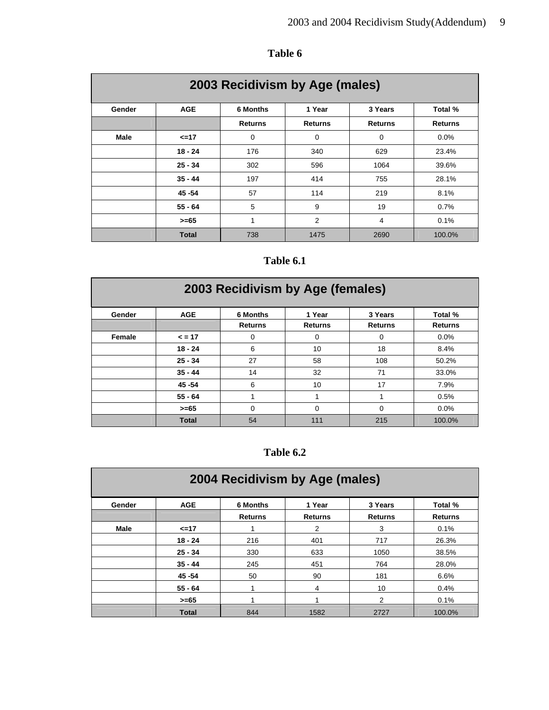| 2003 Recidivism by Age (males) |              |                                                 |                |                |                |  |  |  |  |
|--------------------------------|--------------|-------------------------------------------------|----------------|----------------|----------------|--|--|--|--|
| Gender                         | <b>AGE</b>   | <b>6 Months</b><br>1 Year<br>3 Years<br>Total % |                |                |                |  |  |  |  |
|                                |              | <b>Returns</b>                                  | <b>Returns</b> | <b>Returns</b> | <b>Returns</b> |  |  |  |  |
| <b>Male</b>                    | <=17         | 0                                               | 0              | 0              | $0.0\%$        |  |  |  |  |
|                                | $18 - 24$    | 176                                             | 340            | 629            | 23.4%          |  |  |  |  |
|                                | $25 - 34$    | 302                                             | 596            | 1064           | 39.6%          |  |  |  |  |
|                                | $35 - 44$    | 197                                             | 414            | 755            | 28.1%          |  |  |  |  |
|                                | 45 - 54      | 57                                              | 114            | 219            | 8.1%           |  |  |  |  |
|                                | $55 - 64$    | 5                                               | 9              | 19             | 0.7%           |  |  |  |  |
|                                | >=65         | 1                                               | $\overline{2}$ | 4              | 0.1%           |  |  |  |  |
|                                | <b>Total</b> | 738                                             | 1475           | 2690           | 100.0%         |  |  |  |  |

# **Table 6**

# **Table 6.1**

| 2003 Recidivism by Age (females) |              |                                   |                          |                           |                           |  |  |  |  |
|----------------------------------|--------------|-----------------------------------|--------------------------|---------------------------|---------------------------|--|--|--|--|
| Gender                           | <b>AGE</b>   | <b>6 Months</b><br><b>Returns</b> | 1 Year<br><b>Returns</b> | 3 Years<br><b>Returns</b> | Total %<br><b>Returns</b> |  |  |  |  |
| Female                           | $= 17$       | 0                                 | 0                        | 0                         | 0.0%                      |  |  |  |  |
|                                  | $18 - 24$    | 6                                 | 10                       | 18                        | 8.4%                      |  |  |  |  |
|                                  | $25 - 34$    | 27                                | 58                       | 108                       | 50.2%                     |  |  |  |  |
|                                  | $35 - 44$    | 14                                | 32                       | 71                        | 33.0%                     |  |  |  |  |
|                                  | 45 - 54      | 6                                 | 10                       | 17                        | 7.9%                      |  |  |  |  |
|                                  | $55 - 64$    | 1                                 |                          |                           | 0.5%                      |  |  |  |  |
|                                  | $>= 65$      | $\Omega$                          | $\Omega$                 | $\Omega$                  | 0.0%                      |  |  |  |  |
|                                  | <b>Total</b> | 54                                | 111                      | 215                       | 100.0%                    |  |  |  |  |

# **Table 6.2**

| 2004 Recidivism by Age (males) |              |                |                |                |                |  |  |  |  |
|--------------------------------|--------------|----------------|----------------|----------------|----------------|--|--|--|--|
| Gender                         | <b>AGE</b>   | 6 Months       | 1 Year         | 3 Years        | Total %        |  |  |  |  |
|                                |              | <b>Returns</b> | <b>Returns</b> | <b>Returns</b> | <b>Returns</b> |  |  |  |  |
| Male                           | <=17         |                | 2              | 3              | 0.1%           |  |  |  |  |
|                                | $18 - 24$    | 216            | 401            | 717            | 26.3%          |  |  |  |  |
|                                | $25 - 34$    | 330            | 633            | 1050           | 38.5%          |  |  |  |  |
|                                | $35 - 44$    | 245            | 451            | 764            | 28.0%          |  |  |  |  |
|                                | 45 - 54      | 50             | 90             | 181            | 6.6%           |  |  |  |  |
|                                | $55 - 64$    |                | 4              | 10             | 0.4%           |  |  |  |  |
|                                | $>= 65$      |                | 4              | 2              | 0.1%           |  |  |  |  |
|                                | <b>Total</b> | 844            | 1582           | 2727           | 100.0%         |  |  |  |  |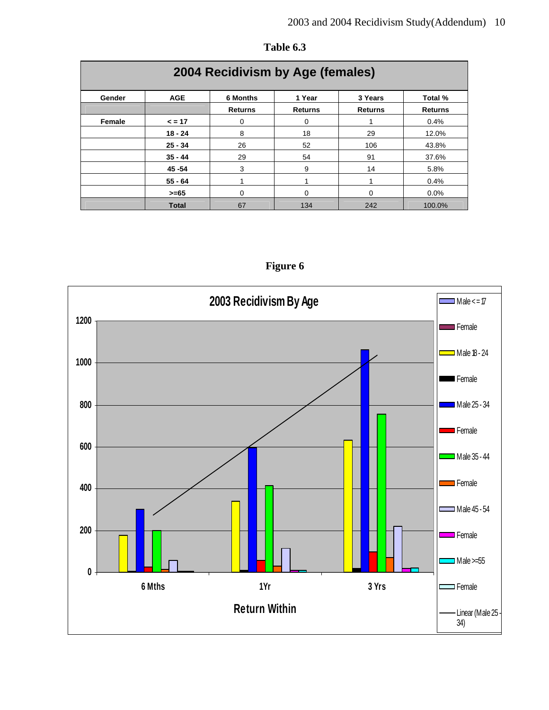| 2004 Recidivism by Age (females) |              |                                          |                |                |                |  |  |  |  |
|----------------------------------|--------------|------------------------------------------|----------------|----------------|----------------|--|--|--|--|
| Gender                           | <b>AGE</b>   | 6 Months<br>1 Year<br>3 Years<br>Total % |                |                |                |  |  |  |  |
|                                  |              | <b>Returns</b>                           | <b>Returns</b> | <b>Returns</b> | <b>Returns</b> |  |  |  |  |
| Female                           | $\leq$ = 17  | 0                                        | 0              | 1              | 0.4%           |  |  |  |  |
|                                  | $18 - 24$    | 8                                        | 18             | 29             | 12.0%          |  |  |  |  |
|                                  | $25 - 34$    | 26                                       | 52             | 106            | 43.8%          |  |  |  |  |
|                                  | $35 - 44$    | 29                                       | 54             | 91             | 37.6%          |  |  |  |  |
|                                  | 45 - 54      | 3                                        | 9              | 14             | 5.8%           |  |  |  |  |
|                                  | $55 - 64$    |                                          | 1              | 1              | 0.4%           |  |  |  |  |
|                                  | $>= 65$      | 0                                        | 0              | $\Omega$       | $0.0\%$        |  |  |  |  |
|                                  | <b>Total</b> | 67                                       | 134            | 242            | 100.0%         |  |  |  |  |

**Table 6.3**



**Figure 6**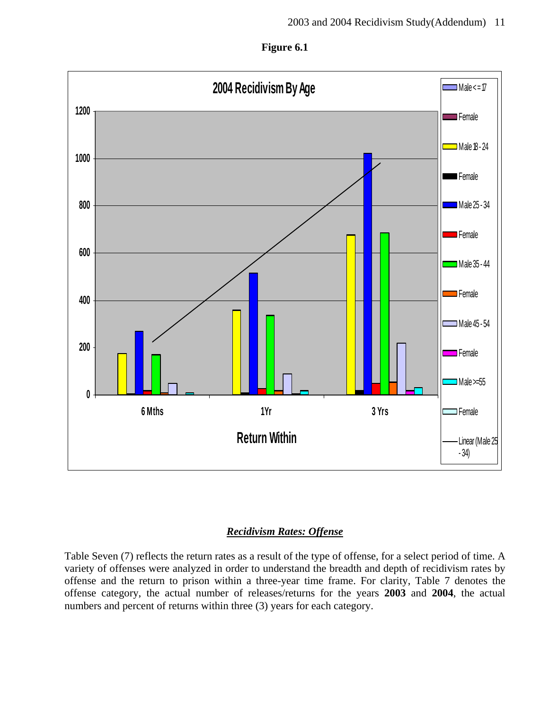



## *Recidivism Rates: Offense*

Table Seven (7) reflects the return rates as a result of the type of offense, for a select period of time. A variety of offenses were analyzed in order to understand the breadth and depth of recidivism rates by offense and the return to prison within a three-year time frame. For clarity, Table 7 denotes the offense category, the actual number of releases/returns for the years **2003** and **2004**, the actual numbers and percent of returns within three (3) years for each category.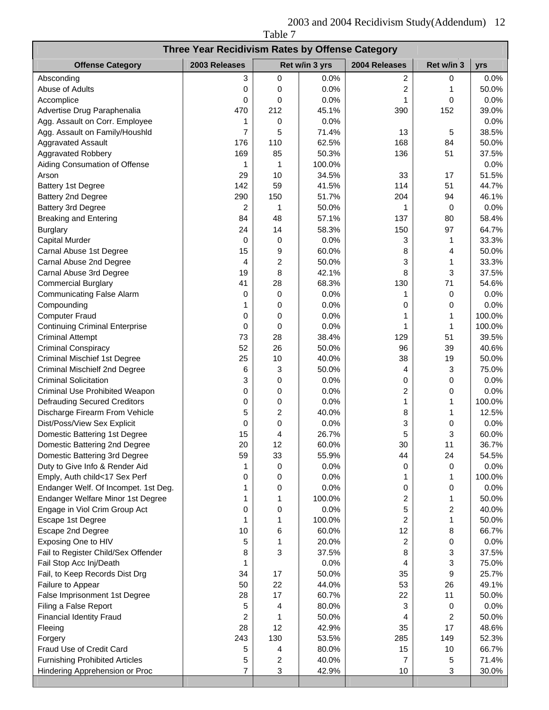2003 and 2004 Recidivism Study(Addendum) 12 Table 7

| Three Year Recidivism Rates by Offense Category |                     |             |                |                |                         |                |  |  |  |
|-------------------------------------------------|---------------------|-------------|----------------|----------------|-------------------------|----------------|--|--|--|
| <b>Offense Category</b>                         | 2003 Releases       |             | Ret w/in 3 yrs | 2004 Releases  | Ret w/in 3              | yrs            |  |  |  |
| Absconding                                      | 3                   | $\mathbf 0$ | 0.0%           | 2              | 0                       | 0.0%           |  |  |  |
| Abuse of Adults                                 | 0                   | 0           | 0.0%           | $\overline{c}$ | 1                       | 50.0%          |  |  |  |
| Accomplice                                      | 0                   | 0           | 0.0%           | 1              | 0                       | 0.0%           |  |  |  |
| Advertise Drug Paraphenalia                     | 470                 | 212         | 45.1%          | 390            | 152                     | 39.0%          |  |  |  |
| Agg. Assault on Corr. Employee                  | 1                   | 0           | 0.0%           |                |                         | 0.0%           |  |  |  |
| Agg. Assault on Family/Houshld                  | $\overline{7}$      | 5           | 71.4%          | 13             | 5                       | 38.5%          |  |  |  |
| <b>Aggravated Assault</b>                       | 176                 | 110         | 62.5%          | 168            | 84                      | 50.0%          |  |  |  |
| <b>Aggravated Robbery</b>                       | 169                 | 85          | 50.3%          | 136            | 51                      | 37.5%          |  |  |  |
| Aiding Consumation of Offense                   | 1                   | 1           | 100.0%         |                |                         | 0.0%           |  |  |  |
| Arson                                           | 29                  | 10          | 34.5%          | 33             | 17                      | 51.5%          |  |  |  |
| <b>Battery 1st Degree</b>                       | 142                 | 59          | 41.5%          | 114            | 51                      | 44.7%          |  |  |  |
| Battery 2nd Degree                              | 290                 | 150         | 51.7%          | 204            | 94                      | 46.1%          |  |  |  |
| Battery 3rd Degree                              | $\overline{c}$      | 1           | 50.0%          | 1              | 0                       | 0.0%           |  |  |  |
| <b>Breaking and Entering</b>                    | 84                  | 48          | 57.1%          | 137            | 80                      | 58.4%          |  |  |  |
| <b>Burglary</b>                                 | 24                  | 14          | 58.3%          | 150            | 97                      | 64.7%          |  |  |  |
| Capital Murder                                  | 0                   | 0           | 0.0%           | 3              | 1                       | 33.3%          |  |  |  |
| Carnal Abuse 1st Degree                         | 15                  | 9           | 60.0%          | 8              | 4                       | 50.0%          |  |  |  |
| Carnal Abuse 2nd Degree                         | 4                   | 2           | 50.0%          | 3              | 1                       | 33.3%          |  |  |  |
| Carnal Abuse 3rd Degree                         | 19                  | 8           | 42.1%          | 8              | 3                       | 37.5%          |  |  |  |
| <b>Commercial Burglary</b>                      | 41                  | 28          | 68.3%          | 130            | 71                      | 54.6%          |  |  |  |
| <b>Communicating False Alarm</b>                | 0                   | 0           | 0.0%           | 1              | 0                       | 0.0%           |  |  |  |
| Compounding                                     | 1                   | 0           | 0.0%           | 0              | 0                       | 0.0%           |  |  |  |
| <b>Computer Fraud</b>                           | 0                   | 0           | 0.0%           | 1              | 1                       | 100.0%         |  |  |  |
| <b>Continuing Criminal Enterprise</b>           | 0                   | 0           | 0.0%           | 1              | 1                       | 100.0%         |  |  |  |
| <b>Criminal Attempt</b>                         | 73                  | 28          | 38.4%          | 129            | 51                      | 39.5%          |  |  |  |
| <b>Criminal Conspiracy</b>                      | 52                  | 26          | 50.0%          | 96             | 39                      | 40.6%          |  |  |  |
| <b>Criminal Mischief 1st Degree</b>             | 25                  | 10          | 40.0%          | 38             | 19                      | 50.0%          |  |  |  |
| Criminal Mischielf 2nd Degree                   | 6                   | 3           | 50.0%          | 4              | 3                       | 75.0%          |  |  |  |
| <b>Criminal Solicitation</b>                    | 3                   | 0           | 0.0%           | 0              | 0                       | 0.0%           |  |  |  |
| Criminal Use Prohibited Weapon                  | 0                   | 0           | 0.0%           | $\overline{c}$ | 0                       | 0.0%           |  |  |  |
| <b>Defrauding Secured Creditors</b>             | 0                   | 0           | 0.0%           | 1              | 1                       | 100.0%         |  |  |  |
| Discharge Firearm From Vehicle                  | 5                   | 2           | 40.0%          | 8              | 1                       | 12.5%          |  |  |  |
| Dist/Poss/View Sex Explicit                     | 0                   | 0           | 0.0%           | 3              | 0                       | 0.0%           |  |  |  |
| Domestic Battering 1st Degree                   | 15                  | 4           | 26.7%          | 5              | 3                       | 60.0%          |  |  |  |
| Domestic Battering 2nd Degree                   | 20                  | 12          | 60.0%          | 30             | 11                      | 36.7%          |  |  |  |
| Domestic Battering 3rd Degree                   | 59                  | 33          | 55.9%          | 44             | 24                      | 54.5%          |  |  |  |
| Duty to Give Info & Render Aid                  | 1                   | 0           | 0.0%           | 0              | 0                       | 0.0%           |  |  |  |
| Emply, Auth child<17 Sex Perf                   | 0                   | 0           | 0.0%           | 1              | 1                       | 100.0%         |  |  |  |
| Endanger Welf. Of Incompet. 1st Deg.            |                     | 0           | 0.0%           | 0              | 0                       | 0.0%           |  |  |  |
| Endanger Welfare Minor 1st Degree               |                     |             | 100.0%         | 2              | 1                       | 50.0%          |  |  |  |
| Engage in Viol Crim Group Act                   | 0                   | 0           | 0.0%           | 5              | $\overline{\mathbf{c}}$ | 40.0%          |  |  |  |
| Escape 1st Degree                               | 1                   | 1           | 100.0%         | $\overline{c}$ | 1                       | 50.0%          |  |  |  |
| Escape 2nd Degree                               | 10                  | 6           | 60.0%          | 12             | 8                       | 66.7%          |  |  |  |
| Exposing One to HIV                             | 5                   | 1           | 20.0%          | 2              | 0                       | 0.0%           |  |  |  |
| Fail to Register Child/Sex Offender             | 8                   | 3           | 37.5%          | 8              | 3                       | 37.5%          |  |  |  |
| Fail Stop Acc Inj/Death                         | 1                   |             | 0.0%           | 4              | 3                       | 75.0%          |  |  |  |
| Fail, to Keep Records Dist Drg                  | 34                  | 17          | 50.0%          | 35             | 9                       | 25.7%          |  |  |  |
| Failure to Appear                               | 50                  | 22          | 44.0%          | 53             | 26<br>11                | 49.1%          |  |  |  |
| False Imprisonment 1st Degree                   | 28                  | 17          | 60.7%          | 22             |                         | 50.0%          |  |  |  |
| Filing a False Report                           | 5<br>2              | 4<br>1      | 80.0%<br>50.0% | 3<br>4         | 0<br>2                  | 0.0%           |  |  |  |
| <b>Financial Identity Fraud</b>                 |                     |             |                |                |                         | 50.0%          |  |  |  |
| Fleeing                                         | 28<br>243           | 12<br>130   | 42.9%<br>53.5% | 35<br>285      | 17<br>149               | 48.6%<br>52.3% |  |  |  |
| Forgery<br>Fraud Use of Credit Card             |                     | 4           | 80.0%          | 15             | 10                      | 66.7%          |  |  |  |
| <b>Furnishing Prohibited Articles</b>           | 5                   |             | 40.0%          | 7              |                         | 71.4%          |  |  |  |
| Hindering Apprehension or Proc                  | 5<br>$\overline{7}$ | 2<br>3      | 42.9%          | 10             | 5<br>3                  | 30.0%          |  |  |  |
|                                                 |                     |             |                |                |                         |                |  |  |  |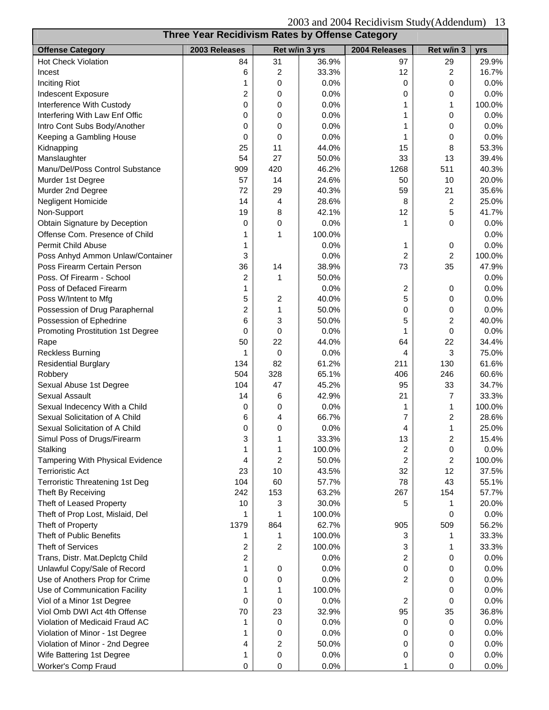| 2003 and 2004 Recidivism Study (Addendum)<br>-13 |                                                 |                |                |                |                |        |  |  |
|--------------------------------------------------|-------------------------------------------------|----------------|----------------|----------------|----------------|--------|--|--|
|                                                  | Three Year Recidivism Rates by Offense Category |                |                |                |                |        |  |  |
| <b>Offense Category</b>                          | 2003 Releases                                   |                | Ret w/in 3 yrs | 2004 Releases  | Ret w/in 3     | yrs    |  |  |
| <b>Hot Check Violation</b>                       | 84                                              | 31             | 36.9%          | 97             | 29             | 29.9%  |  |  |
| Incest                                           | 6                                               | 2              | 33.3%          | 12             | 2              | 16.7%  |  |  |
| <b>Inciting Riot</b>                             | 1                                               | 0              | 0.0%           | 0              | 0              | 0.0%   |  |  |
| Indescent Exposure                               | 2                                               | 0              | 0.0%           | 0              | 0              | 0.0%   |  |  |
| Interference With Custody                        | 0                                               | 0              | 0.0%           | 1              | 1              | 100.0% |  |  |
| Interfering With Law Enf Offic                   | 0                                               | 0              | 0.0%           | 1              | 0              | 0.0%   |  |  |
| Intro Cont Subs Body/Another                     | 0                                               | 0              | 0.0%           |                | 0              | 0.0%   |  |  |
| Keeping a Gambling House                         | 0                                               | 0              | 0.0%           | 1              | 0              | 0.0%   |  |  |
| Kidnapping                                       | 25                                              | 11             | 44.0%          | 15             | 8              | 53.3%  |  |  |
| Manslaughter                                     | 54                                              | 27             | 50.0%          | 33             | 13             | 39.4%  |  |  |
| Manu/Del/Poss Control Substance                  | 909                                             | 420            | 46.2%          | 1268           | 511            | 40.3%  |  |  |
| Murder 1st Degree                                | 57                                              | 14             | 24.6%          | 50             | 10             | 20.0%  |  |  |
| Murder 2nd Degree                                | 72                                              | 29             | 40.3%          | 59             | 21             | 35.6%  |  |  |
| Negligent Homicide                               | 14                                              | 4              | 28.6%          | 8              | 2              | 25.0%  |  |  |
| Non-Support                                      | 19                                              | 8              | 42.1%          | 12             | 5              | 41.7%  |  |  |
| Obtain Signature by Deception                    | 0                                               | 0              | 0.0%           | 1              | 0              | 0.0%   |  |  |
| Offense Com. Presence of Child                   | 1                                               | 1              | 100.0%         |                |                | 0.0%   |  |  |
| <b>Permit Child Abuse</b>                        | 1                                               |                | 0.0%           | 1              | 0              | 0.0%   |  |  |
| Poss Anhyd Ammon Unlaw/Container                 | 3                                               |                | 0.0%           | 2              | $\overline{c}$ | 100.0% |  |  |
| Poss Firearm Certain Person                      | 36                                              | 14             | 38.9%          | 73             | 35             | 47.9%  |  |  |
| Poss. Of Firearm - School                        | 2                                               | 1              | 50.0%          |                |                | 0.0%   |  |  |
| Poss of Defaced Firearm                          | 1                                               |                | 0.0%           | 2              | 0              | 0.0%   |  |  |
| Poss W/Intent to Mfg                             | 5                                               | 2              | 40.0%          | 5              | 0              | 0.0%   |  |  |
| Possession of Drug Paraphernal                   | 2                                               | 1              | 50.0%          | 0              | 0              | 0.0%   |  |  |
| Possession of Ephedrine                          | 6                                               | 3              | 50.0%          | 5              | 2              | 40.0%  |  |  |
| Promoting Prostitution 1st Degree                | 0                                               | 0              | 0.0%           | 1              | 0              | 0.0%   |  |  |
| Rape                                             | 50                                              | 22             | 44.0%          | 64             | 22             | 34.4%  |  |  |
| <b>Reckless Burning</b>                          | 1                                               | 0              | 0.0%           | 4              | 3              | 75.0%  |  |  |
| <b>Residential Burglary</b>                      | 134                                             | 82             | 61.2%          | 211            | 130            | 61.6%  |  |  |
| Robbery                                          | 504                                             | 328            | 65.1%          | 406            | 246            | 60.6%  |  |  |
| Sexual Abuse 1st Degree                          | 104                                             | 47             | 45.2%          | 95             | 33             | 34.7%  |  |  |
| <b>Sexual Assault</b>                            | 14                                              | 6              | 42.9%          | 21             | 7              | 33.3%  |  |  |
| Sexual Indecency With a Child                    | 0                                               | 0              | 0.0%           | 1              | 1              | 100.0% |  |  |
| Sexual Solicitation of A Child                   | 6                                               | 4              | 66.7%          | $\overline{7}$ | $\overline{2}$ | 28.6%  |  |  |
| Sexual Solicitation of A Child                   | 0                                               | 0              | 0.0%           | 4              | 1              | 25.0%  |  |  |
| Simul Poss of Drugs/Firearm                      | 3                                               | 1              | 33.3%          | 13             | 2              | 15.4%  |  |  |
| Stalking                                         | 1                                               | 1              | 100.0%         | 2              | 0              | 0.0%   |  |  |
| Tampering With Physical Evidence                 | 4                                               | $\overline{2}$ | 50.0%          | 2              | 2              | 100.0% |  |  |
| <b>Terrioristic Act</b>                          | 23                                              | 10             | 43.5%          | 32             | 12             | 37.5%  |  |  |
| <b>Terroristic Threatening 1st Deg</b>           | 104                                             | 60             | 57.7%          | 78             | 43             | 55.1%  |  |  |
| Theft By Receiving                               | 242                                             | 153            | 63.2%          | 267            | 154            | 57.7%  |  |  |
| Theft of Leased Property                         | 10                                              | 3              | 30.0%          | 5              | 1              | 20.0%  |  |  |
| Theft of Prop Lost, Mislaid, Del                 | 1                                               |                | 100.0%         |                | 0              | 0.0%   |  |  |
| Theft of Property                                | 1379                                            | 864            | 62.7%          | 905            | 509            | 56.2%  |  |  |
| Theft of Public Benefits                         | 1                                               | 1              | 100.0%         | 3              | 1              | 33.3%  |  |  |
| <b>Theft of Services</b>                         |                                                 | 2              | 100.0%         | 3              | 1              | 33.3%  |  |  |
|                                                  | 2                                               |                | 0.0%           | $\overline{c}$ |                | 0.0%   |  |  |
| Trans, Distr. Mat.Deplctg Child                  | 2<br>1                                          |                |                |                | 0              |        |  |  |
| Unlawful Copy/Sale of Record                     |                                                 | 0              | 0.0%           | 0              | 0              | 0.0%   |  |  |
| Use of Anothers Prop for Crime                   | 0                                               | 0              | 0.0%           | 2              | 0              | 0.0%   |  |  |
| Use of Communication Facility                    | 1                                               | 1              | 100.0%         |                | 0              | 0.0%   |  |  |
| Viol of a Minor 1st Degree                       | 0                                               | 0              | 0.0%           | $\overline{2}$ | 0              | 0.0%   |  |  |
| Viol Omb DWI Act 4th Offense                     | 70                                              | 23             | 32.9%          | 95             | 35             | 36.8%  |  |  |
| Violation of Medicaid Fraud AC                   | 1                                               | 0              | 0.0%           | 0              | 0              | 0.0%   |  |  |
| Violation of Minor - 1st Degree                  | 1                                               | 0              | 0.0%           | 0              | 0              | 0.0%   |  |  |
| Violation of Minor - 2nd Degree                  | 4                                               | 2              | 50.0%          | 0              | 0              | 0.0%   |  |  |
| Wife Battering 1st Degree                        | 1                                               | 0              | 0.0%           | 0              | 0              | 0.0%   |  |  |
| Worker's Comp Fraud                              | 0                                               | 0              | 0.0%           |                | 0              | 0.0%   |  |  |